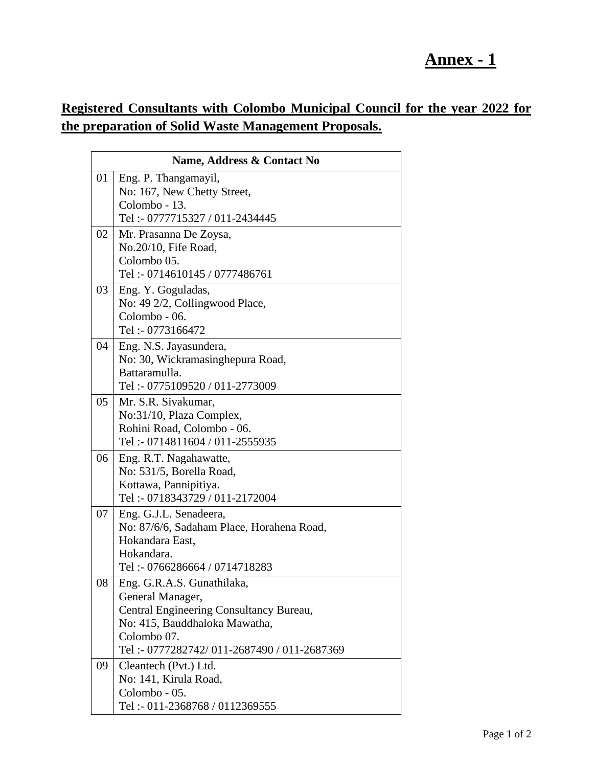## **Annex - 1**

## **Registered Consultants with Colombo Municipal Council for the year 2022 for the preparation of Solid Waste Management Proposals.**

| Name, Address & Contact No |                                                             |  |
|----------------------------|-------------------------------------------------------------|--|
| 01                         | Eng. P. Thangamayil,                                        |  |
|                            | No: 167, New Chetty Street,                                 |  |
|                            | Colombo - 13.                                               |  |
|                            | Tel: - 0777715327 / 011-2434445                             |  |
| 02                         | Mr. Prasanna De Zoysa,                                      |  |
|                            | No.20/10, Fife Road,                                        |  |
|                            | Colombo 05.                                                 |  |
|                            | Tel: - 0714610145 / 0777486761                              |  |
| 03                         | Eng. Y. Goguladas,                                          |  |
|                            | No: 49 2/2, Collingwood Place,<br>Colombo - 06.             |  |
|                            | Tel: - 0773166472                                           |  |
|                            |                                                             |  |
| 04                         | Eng. N.S. Jayasundera,<br>No: 30, Wickramasinghepura Road,  |  |
|                            | Battaramulla.                                               |  |
|                            | Tel: - 0775109520 / 011-2773009                             |  |
| 05                         | Mr. S.R. Sivakumar,                                         |  |
|                            | No:31/10, Plaza Complex,                                    |  |
|                            | Rohini Road, Colombo - 06.                                  |  |
|                            | Tel: - 0714811604 / 011-2555935                             |  |
| 06                         | Eng. R.T. Nagahawatte,                                      |  |
|                            | No: 531/5, Borella Road,                                    |  |
|                            | Kottawa, Pannipitiya.                                       |  |
|                            | Tel: - 0718343729 / 011-2172004                             |  |
| 07                         | Eng. G.J.L. Senadeera,                                      |  |
|                            | No: 87/6/6, Sadaham Place, Horahena Road,                   |  |
|                            | Hokandara East,                                             |  |
|                            | Hokandara.                                                  |  |
|                            | Tel: - 0766286664 / 0714718283                              |  |
| 08                         | Eng. G.R.A.S. Gunathilaka,                                  |  |
|                            | General Manager,<br>Central Engineering Consultancy Bureau, |  |
|                            | No: 415, Bauddhaloka Mawatha,                               |  |
|                            | Colombo 07.                                                 |  |
|                            | Tel:-0777282742/011-2687490/011-2687369                     |  |
| 09                         | Cleantech (Pvt.) Ltd.                                       |  |
|                            | No: 141, Kirula Road,                                       |  |
|                            | Colombo - 05.                                               |  |
|                            | Tel: - 011-2368768 / 0112369555                             |  |